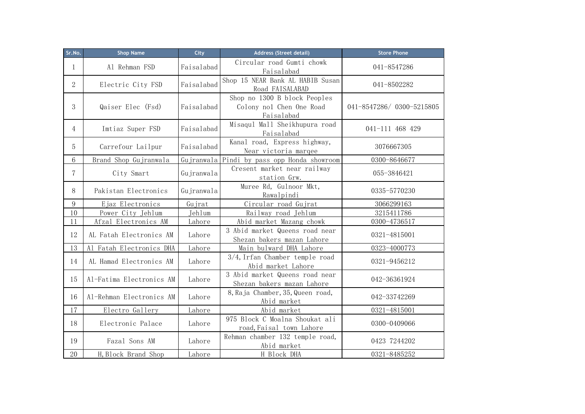| Sr.No.           | <b>Shop Name</b>         | City       | Address (Street detail)                                                | <b>Store Phone</b>       |
|------------------|--------------------------|------------|------------------------------------------------------------------------|--------------------------|
| 1                | Al Rehman FSD            | Faisalabad | Circular road Gumti chowk<br>Faisalabad                                | 041-8547286              |
| $\overline{2}$   | Electric City FSD        | Faisalabad | Shop 15 NEAR Bank AL HABIB Susan<br>Road FAISALABAD                    | 041-8502282              |
| 3                | Qaiser Elec (Fsd)        | Faisalabad | Shop no 1300 B block Peoples<br>Colony nol Chen One Road<br>Faisalabad | 041-8547286/0300-5215805 |
| 4                | Imtiaz Super FSD         | Faisalabad | Misaqul Mall Sheikhupura road<br>Faisalabad                            | 041-111 468 429          |
| 5                | Carrefour Lailpur        | Faisalabad | Kanal road, Express highway,<br>Near victoria marqee                   | 3076667305               |
| 6                | Brand Shop Gujranwala    | Gujranwala | Pindi by pass opp Honda showroom                                       | 0300-8646677             |
| 7                | City Smart               | Gujranwala | Cresent market near railway<br>station Grw.                            | 055-3846421              |
| 8                | Pakistan Electronics     | Gujranwala | Muree Rd, Gulnoor Mkt,<br>Rawalpindi                                   | 0335-5770230             |
| $\boldsymbol{9}$ | Ejaz Electronics         | Gujrat     | Circular road Gujrat                                                   | 3066299163               |
| 10               | Power City Jehlum        | Jehlum     | Railway road Jehlum                                                    | 3215411786               |
| 11               | Afzal Electronics AM     | Lahore     | Abid market Mazang chowk                                               | 0300-4736517             |
| 12               | AL Fatah Electronics AM  | Lahore     | 3 Abid market Queens road near<br>Shezan bakers mazan Lahore           | 0321-4815001             |
| 13               | Al Fatah Electronics DHA | Lahore     | Main bulward DHA Lahore                                                | 0323-4000773             |
| 14               | AL Hamad Electronics AM  | Lahore     | $3/4$ , Irfan Chamber temple road<br>Abid market Lahore                | 0321-9456212             |
| 15               | Al-Fatima Electronics AM | Lahore     | 3 Abid market Queens road near<br>Shezan bakers mazan Lahore           | 042-36361924             |
| 16               | Al-Rehman Electronics AM | Lahore     | 8, Raja Chamber, 35, Queen road,<br>Abid market                        | 042-33742269             |
| 17               | Electro Gallery          | Lahore     | Abid market                                                            | 0321-4815001             |
| 18               | Electronic Palace        | Lahore     | 975 Block C Moalna Shoukat ali<br>road, Faisal town Lahore             | 0300-0409066             |
| 19               | Fazal Sons AM            | Lahore     | Rehman chamber 132 temple road,<br>Abid market                         | 0423 7244202             |
| 20               | H, Block Brand Shop      | Lahore     | H Block DHA                                                            | 0321-8485252             |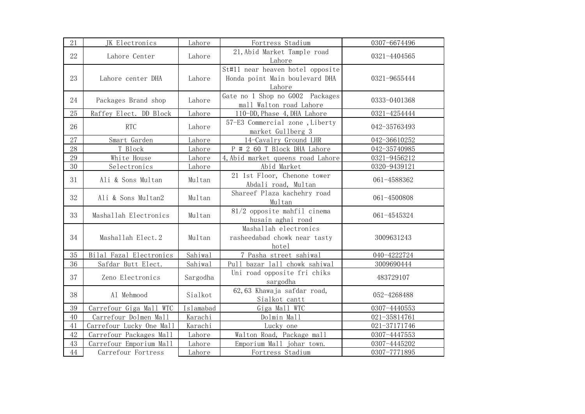| 21     | JK Electronics           | Lahore    | Fortress Stadium                                                             | 0307-6674496 |
|--------|--------------------------|-----------|------------------------------------------------------------------------------|--------------|
| 22     | Lahore Center            | Lahore    | 21, Abid Market Tample road<br>Lahore                                        | 0321-4404565 |
| 23     | Lahore center DHA        | Lahore    | St#11 near heaven hotel opposite<br>Honda point Main boulevard DHA<br>Lahore | 0321-9655444 |
| 24     | Packages Brand shop      | Lahore    | Gate no 1 Shop no G002 Packages<br>mall Walton road Lahore                   | 0333-0401368 |
| 25     | Raffey Elect. DD Block   | Lahore    | 110-DD, Phase 4, DHA Lahore                                                  | 0321-4254444 |
| 26     | <b>RTC</b>               | Lahore    | 57-E3 Commercial zone, Liberty<br>market Gullberg 3                          | 042-35763493 |
| $27\,$ | Smart Garden             | Lahore    | 14-Cavalry Ground LHR                                                        | 042-36610252 |
| 28     | T Block                  | Lahore    | P # 2 60 T Block DHA Lahore                                                  | 042-35740985 |
| 29     | White House              | Lahore    | 4, Abid market queens road Lahore                                            | 0321-9456212 |
| 30     | Selectronics             | Lahore    | Abid Market                                                                  | 0320-9439121 |
| 31     | Ali & Sons Multan        | Multan    | 21 1st Floor, Chenone tower<br>Abdali road, Multan                           | 061-4588362  |
| 32     | Ali & Sons Multan2       | Multan    | Shareef Plaza kachehry road<br>Multan                                        | 061-4500808  |
| 33     | Mashallah Electronics    | Multan    | $81/2$ opposite mahfil cinema<br>husain aghai road                           | 061-4545324  |
| 34     | Mashallah Elect.2        | Multan    | Mashallah electronics<br>rasheedabad chowk near tasty<br>hotel               | 3009631243   |
| 35     | Bilal Fazal Electronics  | Sahiwal   | 7 Pasha street sahiwal                                                       | 040-4222724  |
| 36     | Safdar Butt Elect.       | Sahiwal   | Pull bazar lall chowk sahiwal                                                | 3009690444   |
| 37     | Zeno Electronics         | Sargodha  | Uni road opposite fri chiks<br>sargodha                                      | 483729107    |
| 38     | Al Mehmood               | Sialkot   | 62,63 Khawaja safdar road,<br>Sialkot cantt                                  | 052-4268488  |
| 39     | Carrefour Giga Mall WTC  | Islamabad | Giga Mall WTC                                                                | 0307-4440553 |
| 40     | Carrefour Dolmen Mall    | Karachi   | Dolmin Mall                                                                  | 021-35814761 |
| 41     | Carrefour Lucky One Mall | Karachi   | Lucky one                                                                    | 021-37171746 |
| 42     | Carrefour Packages Mall  | Lahore    | Walton Road, Package mall                                                    | 0307-4447553 |
| 43     | Carrefour Emporium Mall  | Lahore    | Emporium Mall johar town.                                                    | 0307-4445202 |
| 44     | Carrefour Fortress       | Lahore    | Fortress Stadium                                                             | 0307-7771895 |
|        |                          |           |                                                                              |              |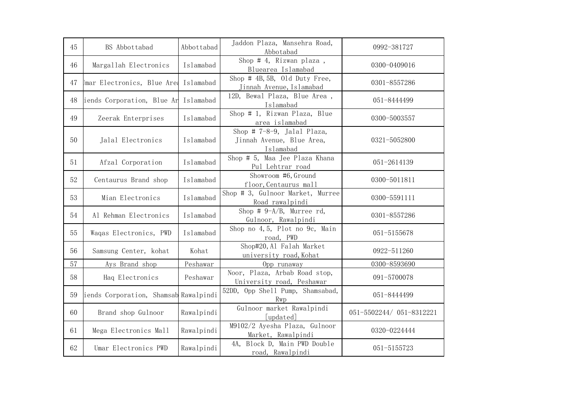| 45 | BS Abbottabad                         | Abbottabad | Jaddon Plaza, Mansehra Road,<br>Abbotabad                               | 0992-381727              |
|----|---------------------------------------|------------|-------------------------------------------------------------------------|--------------------------|
| 46 | Margallah Electronics                 | Islamabad  | Shop # 4, Rizwan plaza,<br>Bluearea Islamabad                           | 0300-0409016             |
| 47 | Jmar Electronics, Blue Are            | Islamabad  | Shop # 4B, 5B, Old Duty Free,<br>Jinnah Avenue, Islamabad               | 0301-8557286             |
| 48 | iends Corporation, Blue Ar            | Islamabad  | 12D, Bewal Plaza, Blue Area,<br>Islamabad                               | 051-8444499              |
| 49 | Zeerak Enterprises                    | Islamabad  | Shop # 1, Rizwan Plaza, Blue<br>area islamabad                          | 0300-5003557             |
| 50 | Jalal Electronics                     | Islamabad  | Shop # $7-8-9$ , Jalal Plaza,<br>Jinnah Avenue, Blue Area,<br>Islamabad | 0321-5052800             |
| 51 | Afzal Corporation                     | Islamabad  | Shop # 5, Maa Jee Plaza Khana<br>Pul Lehtrar road                       | 051-2614139              |
| 52 | Centaurus Brand shop                  | Islamabad  | Showroom #6, Ground<br>floor, Centaurus mall                            | 0300-5011811             |
| 53 | Mian Electronics                      | Islamabad  | Shop # 3, Gulnoor Market, Murree<br>Road rawalpindi                     | 0300-5591111             |
| 54 | Al Rehman Electronics                 | Islamabad  | Shop # $9-A/B$ , Murree rd,<br>Gulnoor, Rawalpindi                      | 0301-8557286             |
| 55 | Waqas Electronics, PWD                | Islamabad  | Shop no 4,5, Plot no 9c, Main<br>road, PWD                              | 051-5155678              |
| 56 | Samsung Center, kohat                 | Kohat      | Shop#20, Al Falah Market<br>university road, Kohat                      | 0922-511260              |
| 57 | Ays Brand shop                        | Peshawar   | Opp runaway                                                             | 0300-8593690             |
| 58 | Hag Electronics                       | Peshawar   | Noor, Plaza, Arbab Road stop,<br>University road, Peshawar              | 091-5700078              |
| 59 | iends Corporation, Shamsab Rawalpindi |            | 52DD, Opp Shell Pump, Shamsabad,<br>Rwp                                 | 051-8444499              |
| 60 | Brand shop Gulnoor                    | Rawalpindi | Gulnoor market Rawalpindi<br>[updated]                                  | 051-5502244/ 051-8312221 |
| 61 | Mega Electronics Mall                 | Rawalpindi | M9102/2 Ayesha Plaza, Gulnoor<br>Market, Rawalpindi                     | 0320-0224444             |
| 62 | Umar Electronics PWD                  | Rawalpindi | 4A, Block D, Main PWD Double<br>road, Rawalpindi                        | 051-5155723              |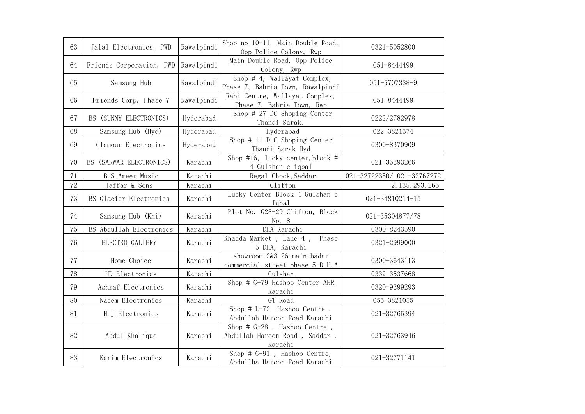| 63 | Jalal Electronics, PWD   | Rawalpindi | Shop no 10-11, Main Double Road,<br>Opp Police Colony, Rwp                 | 0321-5052800              |
|----|--------------------------|------------|----------------------------------------------------------------------------|---------------------------|
| 64 | Friends Corporation, PWD | Rawalpindi | Main Double Road, Opp Police<br>Colony, Rwp                                | 051-8444499               |
| 65 | Samsung Hub              | Rawalpindi | Shop $# 4$ , Wallayat Complex,<br>Phase 7, Bahria Town, Rawalpindi         | 051-5707338-9             |
| 66 | Friends Corp, Phase 7    | Rawalpindi | Rabi Centre, Wallayat Complex,<br>Phase 7, Bahria Town, Rwp                | 051-8444499               |
| 67 | BS (SUNNY ELECTRONICS)   | Hyderabad  | Shop # 27 DC Shoping Center<br>Thandi Sarak.                               | 0222/2782978              |
| 68 | Samsung Hub (Hyd)        | Hyderabad  | Hyderabad                                                                  | 022-3821374               |
| 69 | Glamour Electronics      | Hyderabad  | Shop # 11 D.C Shoping Center<br>Thandi Sarak Hyd                           | 0300-8370909              |
| 70 | BS (SARWAR ELECTRONICS)  | Karachi    | Shop #16, lucky center, block #<br>4 Gulshan e iqbal                       | 021-35293266              |
| 71 | <b>B.S</b> Ameer Music   | Karachi    | Regal Chock, Saddar                                                        | 021-32722350/021-32767272 |
| 72 | Jaffar & Sons            | Karachi    | Clifton                                                                    | 2, 135, 293, 266          |
| 73 | BS Glacier Electronics   | Karachi    | Lucky Center Block 4 Gulshan e<br>Iqbal                                    | 021-34810214-15           |
| 74 | Samsung Hub (Khi)        | Karachi    | Plot No. G28-29 Clifton, Block<br>No. 8                                    | 021-35304877/78           |
| 75 | BS Abdullah Electronics  | Karachi    | DHA Karachi                                                                | 0300-8243590              |
| 76 | ELECTRO GALLERY          | Karachi    | Khadda Market, Lane 4, Phase<br>5 DHA, Karachi                             | 0321-2999000              |
| 77 | Home Choice              | Karachi    | showroom 2&3 26 main badar<br>commercial street phase 5 D.H.A              | 0300-3643113              |
| 78 | HD Electronics           | Karachi    | Gulshan                                                                    | 0332 3537668              |
| 79 | Ashraf Electronics       | Karachi    | Shop # G-79 Hashoo Center AHR<br>Karachi                                   | 0320-9299293              |
| 80 | Naeem Electronics        | Karachi    | GT Road                                                                    | 055-3821055               |
| 81 | H. J Electronics         | Karachi    | Shop # $L-72$ , Hashoo Centre,<br>Abdullah Haroon Road Karachi             | 021-32765394              |
| 82 | Abdul Khalique           | Karachi    | Shop $# G-28$ , Hashoo Centre,<br>Abdullah Haroon Road, Saddar,<br>Karachi | 021-32763946              |
| 83 | Karim Electronics        | Karachi    | Shop $# G-91$ , Hashoo Centre,<br>Abdullha Haroon Road Karachi             | 021-32771141              |